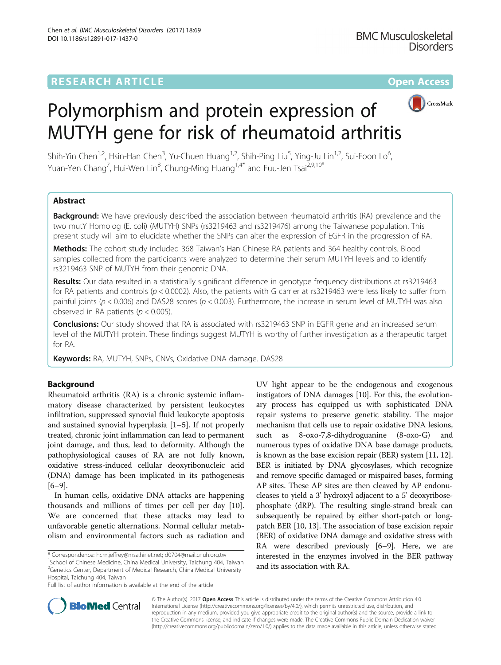

# Polymorphism and protein expression of MUTYH gene for risk of rheumatoid arthritis

Shih-Yin Chen<sup>1,2</sup>, Hsin-Han Chen<sup>3</sup>, Yu-Chuen Huang<sup>1,2</sup>, Shih-Ping Liu<sup>5</sup>, Ying-Ju Lin<sup>1,2</sup>, Sui-Foon Lo<sup>6</sup> , Yuan-Yen Chang<sup>7</sup>, Hui-Wen Lin<sup>8</sup>, Chung-Ming Huang<sup>1,4\*</sup> and Fuu-Jen Tsai<sup>2,9,10\*</sup>

# Abstract

**Background:** We have previously described the association between rheumatoid arthritis (RA) prevalence and the two mutY Homolog (E. coli) (MUTYH) SNPs (rs3219463 and rs3219476) among the Taiwanese population. This present study will aim to elucidate whether the SNPs can alter the expression of EGFR in the progression of RA.

Methods: The cohort study included 368 Taiwan's Han Chinese RA patients and 364 healthy controls. Blood samples collected from the participants were analyzed to determine their serum MUTYH levels and to identify rs3219463 SNP of MUTYH from their genomic DNA.

Results: Our data resulted in a statistically significant difference in genotype frequency distributions at rs3219463 for RA patients and controls ( $p < 0.0002$ ). Also, the patients with G carrier at rs3219463 were less likely to suffer from painful joints ( $p < 0.006$ ) and DAS28 scores ( $p < 0.003$ ). Furthermore, the increase in serum level of MUTYH was also observed in RA patients ( $p < 0.005$ ).

**Conclusions:** Our study showed that RA is associated with rs3219463 SNP in EGFR gene and an increased serum level of the MUTYH protein. These findings suggest MUTYH is worthy of further investigation as a therapeutic target for RA.

Keywords: RA, MUTYH, SNPs, CNVs, Oxidative DNA damage. DAS28

# Background

Rheumatoid arthritis (RA) is a chronic systemic inflammatory disease characterized by persistent leukocytes infiltration, suppressed synovial fluid leukocyte apoptosis and sustained synovial hyperplasia [\[1](#page-6-0)–[5\]](#page-6-0). If not properly treated, chronic joint inflammation can lead to permanent joint damage, and thus, lead to deformity. Although the pathophysiological causes of RA are not fully known, oxidative stress-induced cellular deoxyribonucleic acid (DNA) damage has been implicated in its pathogenesis [[6](#page-6-0)–[9](#page-6-0)].

In human cells, oxidative DNA attacks are happening thousands and millions of times per cell per day [\[10](#page-6-0)]. We are concerned that these attacks may lead to unfavorable genetic alternations. Normal cellular metabolism and environmental factors such as radiation and

\* Correspondence: [hcm.jeffrey@msa.hinet.net;](mailto:hcm.jeffrey@msa.hinet.net) [d0704@mail.cnuh.org.tw](mailto:d0704@mail.cnuh.org.tw) <sup>1</sup>

<sup>1</sup>School of Chinese Medicine, China Medical University, Taichung 404, Taiwan <sup>2</sup> Genetics Center, Department of Medical Research, China Medical University Hospital, Taichung 404, Taiwan

Full list of author information is available at the end of the article

UV light appear to be the endogenous and exogenous instigators of DNA damages [\[10\]](#page-6-0). For this, the evolutionary process has equipped us with sophisticated DNA repair systems to preserve genetic stability. The major mechanism that cells use to repair oxidative DNA lesions, such as 8-oxo-7,8-dihydroguanine (8-oxo-G) and numerous types of oxidative DNA base damage products, is known as the base excision repair (BER) system [\[11, 12](#page-6-0)]. BER is initiated by DNA glycosylases, which recognize and remove specific damaged or mispaired bases, forming AP sites. These AP sites are then cleaved by AP endonucleases to yield a 3' hydroxyl adjacent to a 5' deoxyribosephosphate (dRP). The resulting single-strand break can subsequently be repaired by either short-patch or longpatch BER [\[10, 13](#page-6-0)]. The association of base excision repair (BER) of oxidative DNA damage and oxidative stress with RA were described previously [[6](#page-6-0)–[9](#page-6-0)]. Here, we are interested in the enzymes involved in the BER pathway and its association with RA.



© The Author(s). 2017 **Open Access** This article is distributed under the terms of the Creative Commons Attribution 4.0 International License [\(http://creativecommons.org/licenses/by/4.0/](http://creativecommons.org/licenses/by/4.0/)), which permits unrestricted use, distribution, and reproduction in any medium, provided you give appropriate credit to the original author(s) and the source, provide a link to the Creative Commons license, and indicate if changes were made. The Creative Commons Public Domain Dedication waiver [\(http://creativecommons.org/publicdomain/zero/1.0/](http://creativecommons.org/publicdomain/zero/1.0/)) applies to the data made available in this article, unless otherwise stated.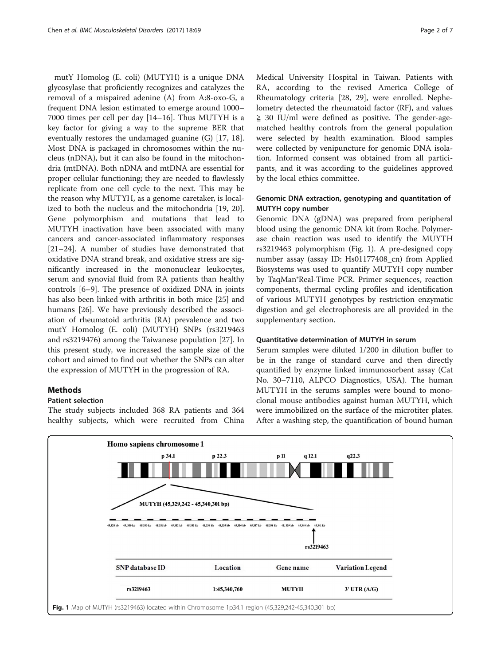mutY Homolog (E. coli) (MUTYH) is a unique DNA glycosylase that proficiently recognizes and catalyzes the removal of a mispaired adenine (A) from A:8-oxo-G, a frequent DNA lesion estimated to emerge around 1000– 7000 times per cell per day [\[14](#page-6-0)–[16\]](#page-6-0). Thus MUTYH is a key factor for giving a way to the supreme BER that eventually restores the undamaged guanine (G) [[17, 18](#page-6-0)]. Most DNA is packaged in chromosomes within the nucleus (nDNA), but it can also be found in the mitochondria (mtDNA). Both nDNA and mtDNA are essential for proper cellular functioning; they are needed to flawlessly replicate from one cell cycle to the next. This may be the reason why MUTYH, as a genome caretaker, is localized to both the nucleus and the mitochondria [[19, 20](#page-6-0)]. Gene polymorphism and mutations that lead to MUTYH inactivation have been associated with many cancers and cancer-associated inflammatory responses [[21](#page-6-0)–[24](#page-6-0)]. A number of studies have demonstrated that oxidative DNA strand break, and oxidative stress are significantly increased in the mononuclear leukocytes, serum and synovial fluid from RA patients than healthy controls [[6](#page-6-0)–[9\]](#page-6-0). The presence of oxidized DNA in joints has also been linked with arthritis in both mice [\[25](#page-6-0)] and humans [\[26](#page-6-0)]. We have previously described the association of rheumatoid arthritis (RA) prevalence and two mutY Homolog (E. coli) (MUTYH) SNPs (rs3219463 and rs3219476) among the Taiwanese population [[27\]](#page-6-0). In this present study, we increased the sample size of the cohort and aimed to find out whether the SNPs can alter the expression of MUTYH in the progression of RA.

## Methods

## Patient selection

The study subjects included 368 RA patients and 364 healthy subjects, which were recruited from China Medical University Hospital in Taiwan. Patients with RA, according to the revised America College of Rheumatology criteria [[28, 29\]](#page-6-0), were enrolled. Nephelometry detected the rheumatoid factor (RF), and values  $\geq$  30 IU/ml were defined as positive. The gender-agematched healthy controls from the general population were selected by health examination. Blood samples were collected by venipuncture for genomic DNA isolation. Informed consent was obtained from all participants, and it was according to the guidelines approved by the local ethics committee.

## Genomic DNA extraction, genotyping and quantitation of MUTYH copy number

Genomic DNA (gDNA) was prepared from peripheral blood using the genomic DNA kit from Roche. Polymerase chain reaction was used to identify the MUYTH rs3219463 polymorphism (Fig. 1). A pre-designed copy number assay (assay ID: Hs01177408\_cn) from Applied Biosystems was used to quantify MUTYH copy number by TaqMan®Real-Time PCR. Primer sequences, reaction components, thermal cycling profiles and identification of various MUTYH genotypes by restriction enzymatic digestion and gel electrophoresis are all provided in the supplementary section.

## Quantitative determination of MUTYH in serum

Serum samples were diluted 1/200 in dilution buffer to be in the range of standard curve and then directly quantified by enzyme linked immunosorbent assay (Cat No. 30–7110, ALPCO Diagnostics, USA). The human MUTYH in the serums samples were bound to monoclonal mouse antibodies against human MUTYH, which were immobilized on the surface of the microtiter plates. After a washing step, the quantification of bound human

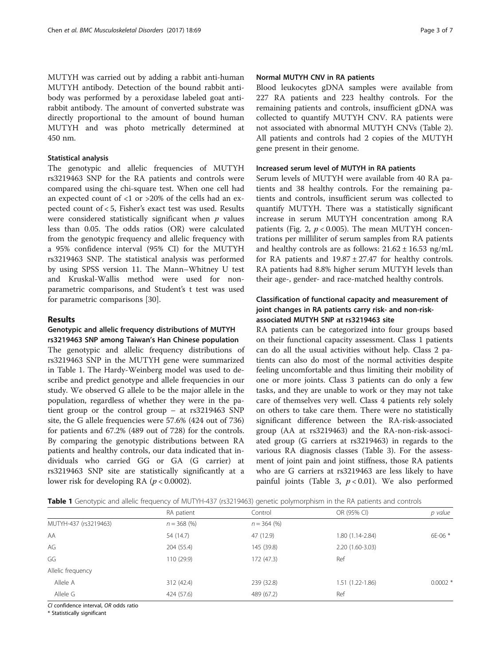MUTYH was carried out by adding a rabbit anti-human MUTYH antibody. Detection of the bound rabbit antibody was performed by a peroxidase labeled goat antirabbit antibody. The amount of converted substrate was directly proportional to the amount of bound human MUTYH and was photo metrically determined at 450 nm.

#### Statistical analysis

The genotypic and allelic frequencies of MUTYH rs3219463 SNP for the RA patients and controls were compared using the chi-square test. When one cell had an expected count of <1 or >20% of the cells had an expected count of < 5, Fisher's exact test was used. Results were considered statistically significant when  $p$  values less than 0.05. The odds ratios (OR) were calculated from the genotypic frequency and allelic frequency with a 95% confidence interval (95% CI) for the MUTYH rs3219463 SNP. The statistical analysis was performed by using SPSS version 11. The Mann–Whitney U test and Kruskal-Wallis method were used for nonparametric comparisons, and Student's t test was used for parametric comparisons [\[30\]](#page-6-0).

### Results

## Genotypic and allelic frequency distributions of MUTYH rs3219463 SNP among Taiwan's Han Chinese population

The genotypic and allelic frequency distributions of rs3219463 SNP in the MUTYH gene were summarized in Table 1. The Hardy-Weinberg model was used to describe and predict genotype and allele frequencies in our study. We observed G allele to be the major allele in the population, regardless of whether they were in the patient group or the control group – at rs3219463 SNP site, the G allele frequencies were 57.6% (424 out of 736) for patients and 67.2% (489 out of 728) for the controls. By comparing the genotypic distributions between RA patients and healthy controls, our data indicated that individuals who carried GG or GA (G carrier) at rs3219463 SNP site are statistically significantly at a lower risk for developing RA ( $p < 0.0002$ ).

## Normal MUTYH CNV in RA patients

Blood leukocytes gDNA samples were available from 227 RA patients and 223 healthy controls. For the remaining patients and controls, insufficient gDNA was collected to quantify MUTYH CNV. RA patients were not associated with abnormal MUTYH CNVs (Table [2](#page-3-0)). All patients and controls had 2 copies of the MUTYH gene present in their genome.

## Increased serum level of MUTYH in RA patients

Serum levels of MUTYH were available from 40 RA patients and 38 healthy controls. For the remaining patients and controls, insufficient serum was collected to quantify MUTYH. There was a statistically significant increase in serum MUTYH concentration among RA patients (Fig. [2](#page-3-0),  $p < 0.005$ ). The mean MUTYH concentrations per milliliter of serum samples from RA patients and healthy controls are as follows:  $21.62 \pm 16.53$  ng/mL for RA patients and  $19.87 \pm 27.47$  for healthy controls. RA patients had 8.8% higher serum MUTYH levels than their age-, gender- and race-matched healthy controls.

## Classification of functional capacity and measurement of joint changes in RA patients carry risk- and non-riskassociated MUTYH SNP at rs3219463 site

RA patients can be categorized into four groups based on their functional capacity assessment. Class 1 patients can do all the usual activities without help. Class 2 patients can also do most of the normal activities despite feeling uncomfortable and thus limiting their mobility of one or more joints. Class 3 patients can do only a few tasks, and they are unable to work or they may not take care of themselves very well. Class 4 patients rely solely on others to take care them. There were no statistically significant difference between the RA-risk-associated group (AA at rs3219463) and the RA-non-risk-associated group (G carriers at rs3219463) in regards to the various RA diagnosis classes (Table [3](#page-4-0)). For the assessment of joint pain and joint stiffness, those RA patients who are G carriers at rs3219463 are less likely to have painful joints (Table [3,](#page-4-0)  $p < 0.01$ ). We also performed

| Table 1 Genotypic and allelic frequency of MUTYH-437 (rs3219463) genetic polymorphism in the RA patients and controls |  |
|-----------------------------------------------------------------------------------------------------------------------|--|
|-----------------------------------------------------------------------------------------------------------------------|--|

| $\sim$                |               |               |                  |           |
|-----------------------|---------------|---------------|------------------|-----------|
|                       | RA patient    | Control       | OR (95% CI)      | p value   |
| MUTYH-437 (rs3219463) | $n = 368$ (%) | $n = 364$ (%) |                  |           |
| AA                    | 54 (14.7)     | 47 (12.9)     | 1.80 (1.14-2.84) | 6E-06 *   |
| AG                    | 204 (55.4)    | 145 (39.8)    | 2.20 (1.60-3.03) |           |
| GG                    | 110 (29.9)    | 172 (47.3)    | Ref              |           |
| Allelic frequency     |               |               |                  |           |
| Allele A              | 312 (42.4)    | 239 (32.8)    | 1.51 (1.22-1.86) | $0.0002*$ |
| Allele G              | 424 (57.6)    | 489 (67.2)    | Ref              |           |
|                       |               |               |                  |           |

CI confidence interval, OR odds ratio

\* Statistically significant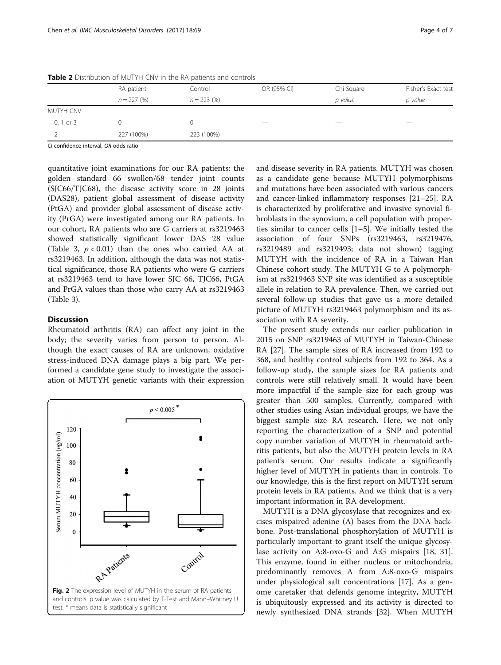|             | RA patient    | Control      | OR (95% CI) | Chi-Square | Fisher's Exact test |
|-------------|---------------|--------------|-------------|------------|---------------------|
|             | $n = 227(96)$ | $n = 223(%)$ |             | p value    | p value             |
| MUTYH CNV   |               |              |             |            |                     |
| 0, 1 or $3$ |               |              |             |            |                     |
|             | 227 (100%)    | 223 (100%)   |             |            |                     |
| .           |               |              |             |            |                     |

<span id="page-3-0"></span>Table 2 Distribution of MUTYH CNV in the RA patients and controls

CI confidence interval, OR odds ratio

quantitative joint examinations for our RA patients: the golden standard 66 swollen/68 tender joint counts (SJC66/TJC68), the disease activity score in 28 joints (DAS28), patient global assessment of disease activity (PtGA) and provider global assessment of disease activity (PrGA) were investigated among our RA patients. In our cohort, RA patients who are G carriers at rs3219463 showed statistically significant lower DAS 28 value (Table [3,](#page-4-0)  $p < 0.01$ ) than the ones who carried AA at rs3219463. In addition, although the data was not statistical significance, those RA patients who were G carriers at rs3219463 tend to have lower SJC 66, TJC66, PtGA and PrGA values than those who carry AA at rs3219463 (Table [3\)](#page-4-0).

## **Discussion**

Rheumatoid arthritis (RA) can affect any joint in the body; the severity varies from person to person. Although the exact causes of RA are unknown, oxidative stress-induced DNA damage plays a big part. We performed a candidate gene study to investigate the association of MUTYH genetic variants with their expression



and disease severity in RA patients. MUTYH was chosen as a candidate gene because MUTYH polymorphisms and mutations have been associated with various cancers and cancer-linked inflammatory responses [\[21](#page-6-0)–[25\]](#page-6-0). RA is characterized by proliferative and invasive synovial fibroblasts in the synovium, a cell population with properties similar to cancer cells [[1](#page-6-0)–[5\]](#page-6-0). We initially tested the association of four SNPs (rs3219463, rs3219476, rs3219489 and rs3219493; data not shown) tagging MUTYH with the incidence of RA in a Taiwan Han Chinese cohort study. The MUTYH G to A polymorphism at rs3219463 SNP site was identified as a susceptible allele in relation to RA prevalence. Then, we carried out several follow-up studies that gave us a more detailed picture of MUTYH rs3219463 polymorphism and its association with RA severity.

The present study extends our earlier publication in 2015 on SNP rs3219463 of MUTYH in Taiwan-Chinese RA [[27\]](#page-6-0). The sample sizes of RA increased from 192 to 368, and healthy control subjects from 192 to 364. As a follow-up study, the sample sizes for RA patients and controls were still relatively small. It would have been more impactful if the sample size for each group was greater than 500 samples. Currently, compared with other studies using Asian individual groups, we have the biggest sample size RA research. Here, we not only reporting the characterization of a SNP and potential copy number variation of MUTYH in rheumatoid arthritis patients, but also the MUTYH protein levels in RA patient's serum. Our results indicate a significantly higher level of MUTYH in patients than in controls. To our knowledge, this is the first report on MUTYH serum protein levels in RA patients. And we think that is a very important information in RA development.

MUTYH is a DNA glycosylase that recognizes and excises mispaired adenine (A) bases from the DNA backbone. Post-translational phosphorylation of MUTYH is particularly important to grant itself the unique glycosylase activity on A:8-oxo-G and A:G mispairs [\[18](#page-6-0), [31](#page-6-0)]. This enzyme, found in either nucleus or mitochondria, predominantly removes A from A:8-oxo-G mispairs under physiological salt concentrations [[17\]](#page-6-0). As a genome caretaker that defends genome integrity, MUTYH is ubiquitously expressed and its activity is directed to newly synthesized DNA strands [[32\]](#page-6-0). When MUTYH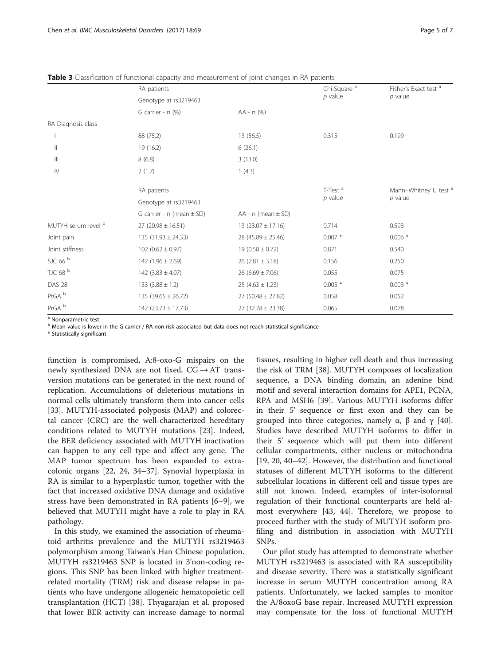|                                       | RA patients                     |                          | Chi-Square <sup>a</sup> | Fisher's Exact test <sup>a</sup> |
|---------------------------------------|---------------------------------|--------------------------|-------------------------|----------------------------------|
|                                       | Genotype at rs3219463           |                          | $p$ value               | $p$ value                        |
|                                       | G carrier - n (%)               | $AA - n$ (%)             |                         |                                  |
| RA Diagnosis class                    |                                 |                          |                         |                                  |
|                                       | 88 (75.2)                       | 13 (56.5)                | 0.315                   | 0.199                            |
| $\mathbb{I}$                          | 19 (16.2)                       | 6(26.1)                  |                         |                                  |
| $\begin{array}{c} \hline \end{array}$ | 8(6.8)                          | 3(13.0)                  |                         |                                  |
| $\mathsf{IV}$                         | 2(1.7)                          | 1(4.3)                   |                         |                                  |
|                                       | RA patients                     |                          | T-Test <sup>a</sup>     | Mann-Whitney U test <sup>a</sup> |
|                                       | Genotype at rs3219463           |                          | $p$ value               | $p$ value                        |
|                                       | G carrier - $n$ (mean $\pm$ SD) | $AA - n$ (mean $\pm$ SD) |                         |                                  |
| MUTYH serum level b                   | $27(20.98 \pm 16.51)$           | $13(23.07 \pm 17.16)$    | 0.714                   | 0.593                            |
| Joint pain                            | 135 (31.93 $\pm$ 24.33)         | 28 (45.89 $\pm$ 25.46)   | $0.007*$                | $0.006*$                         |
| Joint stiffness                       | $102 (0.62 \pm 0.97)$           | $19(0.58 \pm 0.72)$      | 0.871                   | 0.540                            |
| SJC 66 <sup>b</sup>                   | 142 $(1.96 \pm 2.69)$           | $26(2.81 \pm 3.18)$      | 0.156                   | 0.250                            |
| TJC 68 <sup>b</sup>                   | 142 $(3.83 \pm 4.07)$           | $26(6.69 \pm 7.06)$      | 0.055                   | 0.075                            |
| <b>DAS 28</b>                         | 133 $(3.88 \pm 1.2)$            | $25(4.63 \pm 1.23)$      | $0.005*$                | $0.003*$                         |
| PtGA <sup>b</sup>                     | 135 (39.65 $\pm$ 26.72)         | $27(50.48 \pm 27.82)$    | 0.058                   | 0.052                            |
| PrGA <sup>b</sup>                     | 142 (23.73 $\pm$ 17.73)         | $27(32.78 \pm 23.38)$    | 0.065                   | 0.078                            |

<span id="page-4-0"></span>**Table 3** Classification of functional capacity and measurement of joint changes in RA patients

<sup>a</sup> Nonparametric test

b Mean value is lower in the G carrier / RA-non-risk-associated but data does not reach statistical significance

\* Statistically significant

function is compromised, A:8-oxo-G mispairs on the newly synthesized DNA are not fixed,  $CG \rightarrow AT$  transversion mutations can be generated in the next round of replication. Accumulations of deleterious mutations in normal cells ultimately transform them into cancer cells [[33\]](#page-6-0). MUTYH-associated polyposis (MAP) and colorectal cancer (CRC) are the well-characterized hereditary conditions related to MUTYH mutations [[23](#page-6-0)]. Indeed, the BER deficiency associated with MUTYH inactivation can happen to any cell type and affect any gene. The MAP tumor spectrum has been expanded to extracolonic organs [\[22](#page-6-0), [24, 34](#page-6-0)–[37\]](#page-6-0). Synovial hyperplasia in RA is similar to a hyperplastic tumor, together with the fact that increased oxidative DNA damage and oxidative stress have been demonstrated in RA patients [[6](#page-6-0)–[9](#page-6-0)], we believed that MUTYH might have a role to play in RA pathology.

In this study, we examined the association of rheumatoid arthritis prevalence and the MUTYH rs3219463 polymorphism among Taiwan's Han Chinese population. MUTYH rs3219463 SNP is located in 3'non-coding regions. This SNP has been linked with higher treatmentrelated mortality (TRM) risk and disease relapse in patients who have undergone allogeneic hematopoietic cell transplantation (HCT) [\[38](#page-6-0)]. Thyagarajan et al. proposed that lower BER activity can increase damage to normal

tissues, resulting in higher cell death and thus increasing the risk of TRM [[38\]](#page-6-0). MUTYH composes of localization sequence, a DNA binding domain, an adenine bind motif and several interaction domains for APE1, PCNA, RPA and MSH6 [[39\]](#page-6-0). Various MUTYH isoforms differ in their 5' sequence or first exon and they can be grouped into three categories, namely  $\alpha$ , β and γ [\[40](#page-6-0)]. Studies have described MUTYH isoforms to differ in their 5' sequence which will put them into different cellular compartments, either nucleus or mitochondria [[19, 20, 40](#page-6-0)–[42](#page-6-0)]. However, the distribution and functional statuses of different MUTYH isoforms to the different subcellular locations in different cell and tissue types are still not known. Indeed, examples of inter-isoformal regulation of their functional counterparts are held almost everywhere [\[43](#page-6-0), [44](#page-6-0)]. Therefore, we propose to proceed further with the study of MUTYH isoform profiling and distribution in association with MUTYH SNPs.

Our pilot study has attempted to demonstrate whether MUTYH rs3219463 is associated with RA susceptibility and disease severity. There was a statistically significant increase in serum MUTYH concentration among RA patients. Unfortunately, we lacked samples to monitor the A/8oxoG base repair. Increased MUTYH expression may compensate for the loss of functional MUTYH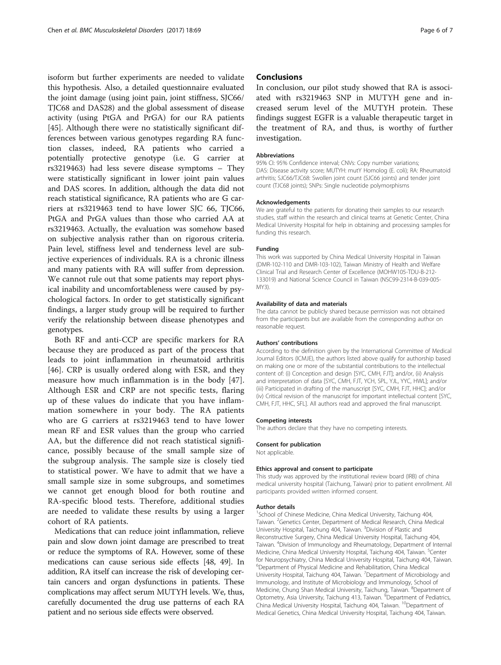isoform but further experiments are needed to validate this hypothesis. Also, a detailed questionnaire evaluated the joint damage (using joint pain, joint stiffness, SJC66/ TJC68 and DAS28) and the global assessment of disease activity (using PtGA and PrGA) for our RA patients [[45\]](#page-6-0). Although there were no statistically significant differences between various genotypes regarding RA function classes, indeed, RA patients who carried a potentially protective genotype (i.e. G carrier at rs3219463) had less severe disease symptoms – They were statistically significant in lower joint pain values and DAS scores. In addition, although the data did not reach statistical significance, RA patients who are G carriers at rs3219463 tend to have lower SJC 66, TJC66, PtGA and PrGA values than those who carried AA at rs3219463. Actually, the evaluation was somehow based on subjective analysis rather than on rigorous criteria. Pain level, stiffness level and tenderness level are subjective experiences of individuals. RA is a chronic illness and many patients with RA will suffer from depression. We cannot rule out that some patients may report physical inability and uncomfortableness were caused by psychological factors. In order to get statistically significant findings, a larger study group will be required to further verify the relationship between disease phenotypes and genotypes.

Both RF and anti-CCP are specific markers for RA because they are produced as part of the process that leads to joint inflammation in rheumatoid arthritis [[46\]](#page-6-0). CRP is usually ordered along with ESR, and they measure how much inflammation is in the body [\[47](#page-6-0)]. Although ESR and CRP are not specific tests, flaring up of these values do indicate that you have inflammation somewhere in your body. The RA patients who are G carriers at rs3219463 tend to have lower mean RF and ESR values than the group who carried AA, but the difference did not reach statistical significance, possibly because of the small sample size of the subgroup analysis. The sample size is closely tied to statistical power. We have to admit that we have a small sample size in some subgroups, and sometimes we cannot get enough blood for both routine and RA-specific blood tests. Therefore, additional studies are needed to validate these results by using a larger cohort of RA patients.

Medications that can reduce joint inflammation, relieve pain and slow down joint damage are prescribed to treat or reduce the symptoms of RA. However, some of these medications can cause serious side effects [[48](#page-6-0), [49](#page-6-0)]. In addition, RA itself can increase the risk of developing certain cancers and organ dysfunctions in patients. These complications may affect serum MUTYH levels. We, thus, carefully documented the drug use patterns of each RA patient and no serious side effects were observed.

## **Conclusions**

In conclusion, our pilot study showed that RA is associated with rs3219463 SNP in MUTYH gene and increased serum level of the MUTYH protein. These findings suggest EGFR is a valuable therapeutic target in the treatment of RA, and thus, is worthy of further investigation.

#### Abbreviations

95% CI: 95% Confidence interval; CNVs: Copy number variations; DAS: Disease activity score; MUTYH: mutY Homolog (E. coli); RA: Rheumatoid arthritis; SJC66/TJC68: Swollen joint count (SJC66 joints) and tender joint count (TJC68 joints); SNPs: Single nucleotide polymorphisms

#### Acknowledgements

We are grateful to the patients for donating their samples to our research studies, staff within the research and clinical teams at Genetic Center, China Medical University Hospital for help in obtaining and processing samples for funding this research.

#### Funding

This work was supported by China Medical University Hospital in Taiwan (DMR-102-110 and DMR-103-102), Taiwan Ministry of Health and Welfare Clinical Trial and Research Center of Excellence (MOHW105-TDU-B-212- 133019) and National Science Council in Taiwan (NSC99-2314-B-039-005- MY3).

#### Availability of data and materials

The data cannot be publicly shared because permission was not obtained from the participants but are available from the corresponding author on reasonable request.

#### Authors' contributions

According to the definition given by the International Committee of Medical Journal Editors (ICMJE), the authors listed above qualify for authorship based on making one or more of the substantial contributions to the intellectual content of: (i) Conception and design [SYC, CMH, FJT]; and/or, (ii) Analysis and interpretation of data [SYC, CMH, FJT, YCH, SPL, YJL, YYC, HWL]; and/or (iii) Participated in drafting of the manuscript [SYC, CMH, FJT, HHC]; and/or (iv) Critical revision of the manuscript for important intellectual content [SYC, CMH, FJT, HHC, SFL]. All authors read and approved the final manuscript.

#### Competing interests

The authors declare that they have no competing interests.

## Consent for publication

Not applicable.

#### Ethics approval and consent to participate

This study was approved by the institutional review board (IRB) of china medical university hospital (Taichung, Taiwan) prior to patient enrollment. All participants provided written informed consent.

#### Author details

<sup>1</sup>School of Chinese Medicine, China Medical University, Taichung 404 Taiwan. <sup>2</sup> Genetics Center, Department of Medical Research, China Medical University Hospital, Taichung 404, Taiwan. <sup>3</sup> Division of Plastic and Reconstructive Surgery, China Medical University Hospital, Taichung 404, Taiwan. <sup>4</sup> Division of Immunology and Rheumatology, Department of Internal Medicine, China Medical University Hospital, Taichung 404, Taiwan. <sup>5</sup>Center for Neuropsychiatry, China Medical University Hospital, Taichung 404, Taiwan. 6 Department of Physical Medicine and Rehabilitation, China Medical University Hospital, Taichung 404, Taiwan. <sup>7</sup> Department of Microbiology and Immunology, and Institute of Microbiology and Immunology, School of Medicine, Chung Shan Medical University, Taichung, Taiwan. <sup>8</sup>Department of Optometry, Asia University, Taichung 413, Taiwan. <sup>9</sup> Department of Pediatrics China Medical University Hospital, Taichung 404, Taiwan. <sup>10</sup>Department of Medical Genetics, China Medical University Hospital, Taichung 404, Taiwan.